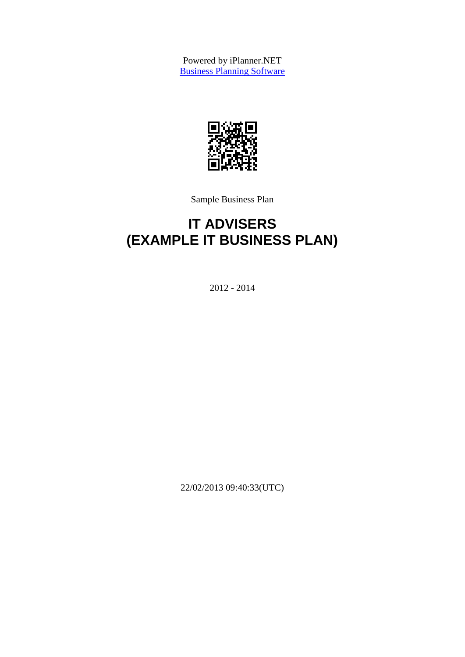Powered by iPlanner.NET **[Business Planning Software](http://www.iplanner.net/)** 



Sample Business Plan

# **IT ADVISERS (EXAMPLE IT BUSINESS PLAN)**

2012 - 2014

22/02/2013 09:40:33(UTC)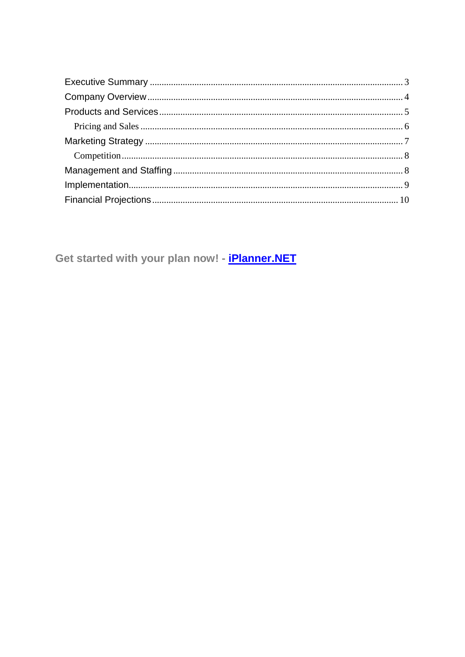Get started with your plan now! - *iPlanner.NET*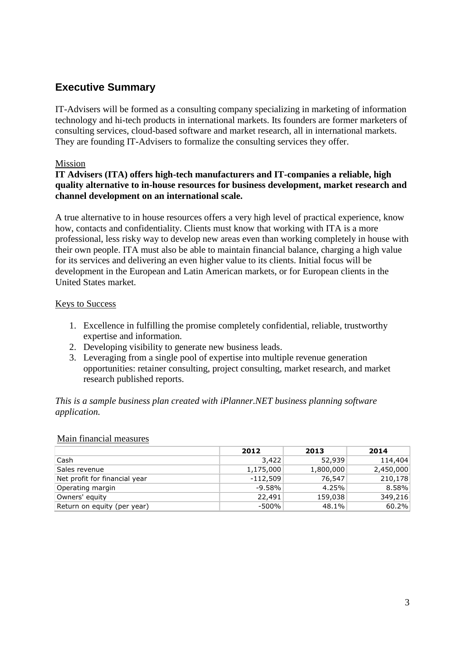### **Executive Summary**

IT-Advisers will be formed as a consulting company specializing in marketing of information technology and hi-tech products in international markets. Its founders are former marketers of consulting services, cloud-based software and market research, all in international markets. They are founding IT-Advisers to formalize the consulting services they offer.

### Mission

### **IT Advisers (ITA) offers high-tech manufacturers and IT-companies a reliable, high quality alternative to in-house resources for business development, market research and channel development on an international scale.**

A true alternative to in house resources offers a very high level of practical experience, know how, contacts and confidentiality. Clients must know that working with ITA is a more professional, less risky way to develop new areas even than working completely in house with their own people. ITA must also be able to maintain financial balance, charging a high value for its services and delivering an even higher value to its clients. Initial focus will be development in the European and Latin American markets, or for European clients in the United States market.

#### Keys to Success

- 1. Excellence in fulfilling the promise completely confidential, reliable, trustworthy expertise and information.
- 2. Developing visibility to generate new business leads.
- 3. Leveraging from a single pool of expertise into multiple revenue generation opportunities: retainer consulting, project consulting, market research, and market research published reports.

#### *This is a sample business plan created with iPlanner.NET business planning software application.*

|                               | 2012       | 2013      | 2014      |
|-------------------------------|------------|-----------|-----------|
| Cash                          | 3,422      | 52,939    | 114,404   |
| Sales revenue                 | 1,175,000  | 1,800,000 | 2,450,000 |
| Net profit for financial year | $-112,509$ | 76,547    | 210,178   |
| Operating margin              | $-9.58%$   | 4.25%     | 8.58%     |
| Owners' equity                | 22,491     | 159,038   | 349,216   |
| Return on equity (per year)   | $-500%$    | 48.1%     | 60.2%     |

#### Main financial measures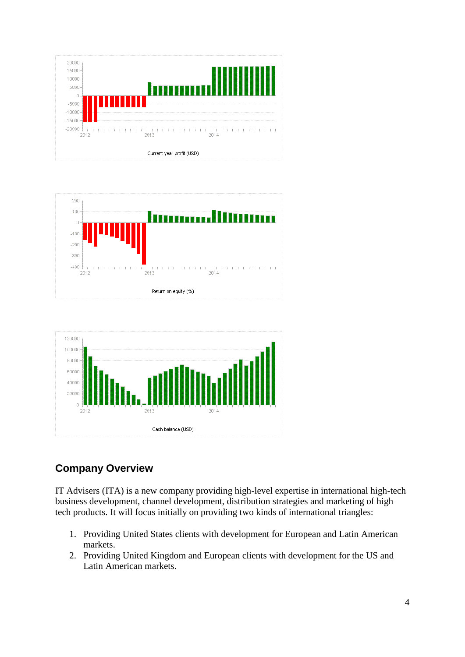





# **Company Overview**

IT Advisers (ITA) is a new company providing high-level expertise in international high-tech business development, channel development, distribution strategies and marketing of high tech products. It will focus initially on providing two kinds of international triangles:

- 1. Providing United States clients with development for European and Latin American markets.
- 2. Providing United Kingdom and European clients with development for the US and Latin American markets.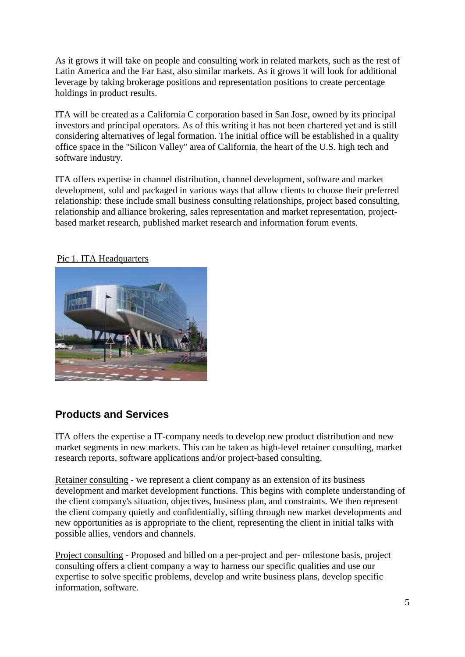As it grows it will take on people and consulting work in related markets, such as the rest of Latin America and the Far East, also similar markets. As it grows it will look for additional leverage by taking brokerage positions and representation positions to create percentage holdings in product results.

ITA will be created as a California C corporation based in San Jose, owned by its principal investors and principal operators. As of this writing it has not been chartered yet and is still considering alternatives of legal formation. The initial office will be established in a quality office space in the "Silicon Valley" area of California, the heart of the U.S. high tech and software industry.

ITA offers expertise in channel distribution, channel development, software and market development, sold and packaged in various ways that allow clients to choose their preferred relationship: these include small business consulting relationships, project based consulting, relationship and alliance brokering, sales representation and market representation, projectbased market research, published market research and information forum events.

### Pic 1. ITA Headquarters



### **Products and Services**

ITA offers the expertise a IT-company needs to develop new product distribution and new market segments in new markets. This can be taken as high-level retainer consulting, market research reports, software applications and/or project-based consulting.

Retainer consulting - we represent a client company as an extension of its business development and market development functions. This begins with complete understanding of the client company's situation, objectives, business plan, and constraints. We then represent the client company quietly and confidentially, sifting through new market developments and new opportunities as is appropriate to the client, representing the client in initial talks with possible allies, vendors and channels.

Project consulting - Proposed and billed on a per-project and per- milestone basis, project consulting offers a client company a way to harness our specific qualities and use our expertise to solve specific problems, develop and write business plans, develop specific information, software.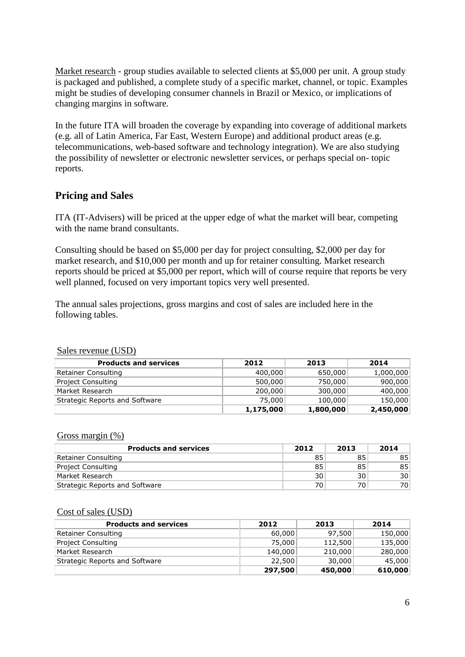Market research - group studies available to selected clients at \$5,000 per unit. A group study is packaged and published, a complete study of a specific market, channel, or topic. Examples might be studies of developing consumer channels in Brazil or Mexico, or implications of changing margins in software.

In the future ITA will broaden the coverage by expanding into coverage of additional markets (e.g. all of Latin America, Far East, Western Europe) and additional product areas (e.g. telecommunications, web-based software and technology integration). We are also studying the possibility of newsletter or electronic newsletter services, or perhaps special on- topic reports.

### **Pricing and Sales**

ITA (IT-Advisers) will be priced at the upper edge of what the market will bear, competing with the name brand consultants.

Consulting should be based on \$5,000 per day for project consulting, \$2,000 per day for market research, and \$10,000 per month and up for retainer consulting. Market research reports should be priced at \$5,000 per report, which will of course require that reports be very well planned, focused on very important topics very well presented.

The annual sales projections, gross margins and cost of sales are included here in the following tables.

| <b>Products and services</b>   | 2012      | 2013      | 2014      |
|--------------------------------|-----------|-----------|-----------|
| Retainer Consulting            | 400,000   | 650,000   | 1,000,000 |
| Project Consulting             | 500,000   | 750,000   | 900,000   |
| Market Research                | 200,000   | 300,000   | 400,000   |
| Strategic Reports and Software | 75,000    | 100,000   | 150,000   |
|                                | 1,175,000 | 1,800,000 | 2,450,000 |

#### Sales revenue (USD)

#### Gross margin (%)

| <b>Products and services</b>   | 2012 | 2013 | 2014 |
|--------------------------------|------|------|------|
| Retainer Consulting            | 85   | 85   | 85   |
| Project Consulting             | 85   | 85   | 85   |
| Market Research                | 30   | 30   | 30   |
| Strategic Reports and Software | 70   | 70   | 70   |

#### Cost of sales (USD)

| <b>Products and services</b>   | 2012    | 2013    | 2014    |
|--------------------------------|---------|---------|---------|
| Retainer Consulting            | 60,000  | 97.500  | 150,000 |
| <b>Project Consulting</b>      | 75,000  | 112,500 | 135,000 |
| Market Research                | 140,000 | 210,000 | 280,000 |
| Strategic Reports and Software | 22,500  | 30,000  | 45,000  |
|                                | 297,500 | 450,000 | 610,000 |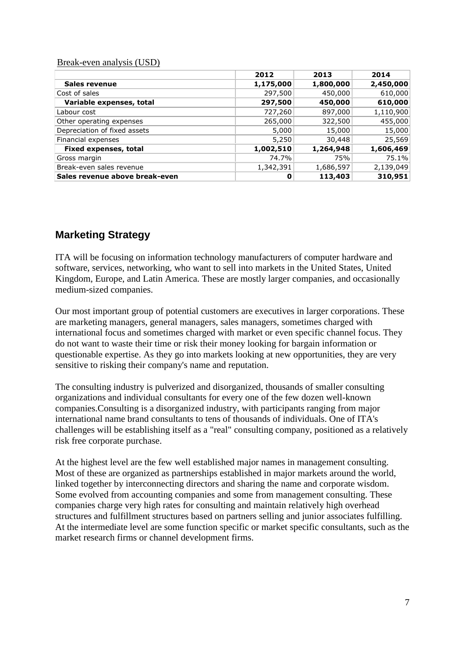#### Break-even analysis (USD)

|                                | 2012      | 2013      | 2014      |
|--------------------------------|-----------|-----------|-----------|
| Sales revenue                  | 1,175,000 | 1,800,000 | 2,450,000 |
| Cost of sales                  | 297,500   | 450,000   | 610,000   |
| Variable expenses, total       | 297,500   | 450,000   | 610,000   |
| Labour cost                    | 727,260   | 897,000   | 1,110,900 |
| Other operating expenses       | 265,000   | 322,500   | 455,000   |
| Depreciation of fixed assets   | 5,000     | 15,000    | 15,000    |
| Financial expenses             | 5,250     | 30,448    | 25,569    |
| <b>Fixed expenses, total</b>   | 1,002,510 | 1,264,948 | 1,606,469 |
| Gross margin                   | 74.7%     | 75%       | 75.1%     |
| Break-even sales revenue       | 1,342,391 | 1,686,597 | 2,139,049 |
| Sales revenue above break-even | O         | 113,403   | 310,951   |

### **Marketing Strategy**

ITA will be focusing on information technology manufacturers of computer hardware and software, services, networking, who want to sell into markets in the United States, United Kingdom, Europe, and Latin America. These are mostly larger companies, and occasionally medium-sized companies.

Our most important group of potential customers are executives in larger corporations. These are marketing managers, general managers, sales managers, sometimes charged with international focus and sometimes charged with market or even specific channel focus. They do not want to waste their time or risk their money looking for bargain information or questionable expertise. As they go into markets looking at new opportunities, they are very sensitive to risking their company's name and reputation.

The consulting industry is pulverized and disorganized, thousands of smaller consulting organizations and individual consultants for every one of the few dozen well-known companies.Consulting is a disorganized industry, with participants ranging from major international name brand consultants to tens of thousands of individuals. One of ITA's challenges will be establishing itself as a "real" consulting company, positioned as a relatively risk free corporate purchase.

At the highest level are the few well established major names in management consulting. Most of these are organized as partnerships established in major markets around the world, linked together by interconnecting directors and sharing the name and corporate wisdom. Some evolved from accounting companies and some from management consulting. These companies charge very high rates for consulting and maintain relatively high overhead structures and fulfillment structures based on partners selling and junior associates fulfilling. At the intermediate level are some function specific or market specific consultants, such as the market research firms or channel development firms.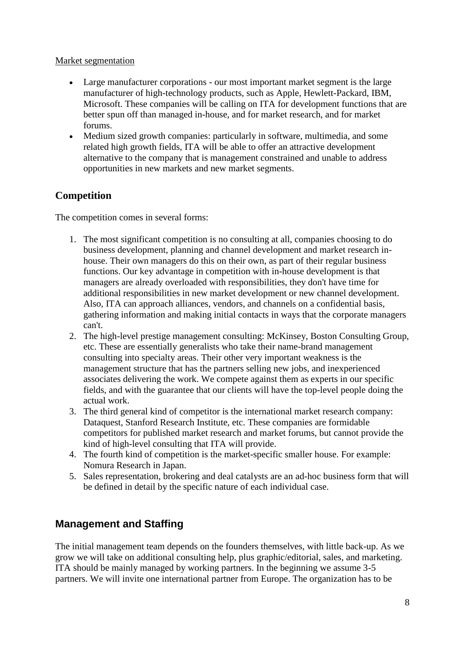### Market segmentation

- Large manufacturer corporations our most important market segment is the large manufacturer of high-technology products, such as Apple, Hewlett-Packard, IBM, Microsoft. These companies will be calling on ITA for development functions that are better spun off than managed in-house, and for market research, and for market forums.
- Medium sized growth companies: particularly in software, multimedia, and some related high growth fields, ITA will be able to offer an attractive development alternative to the company that is management constrained and unable to address opportunities in new markets and new market segments.

### **Competition**

The competition comes in several forms:

- 1. The most significant competition is no consulting at all, companies choosing to do business development, planning and channel development and market research inhouse. Their own managers do this on their own, as part of their regular business functions. Our key advantage in competition with in-house development is that managers are already overloaded with responsibilities, they don't have time for additional responsibilities in new market development or new channel development. Also, ITA can approach alliances, vendors, and channels on a confidential basis, gathering information and making initial contacts in ways that the corporate managers can't.
- 2. The high-level prestige management consulting: McKinsey, Boston Consulting Group, etc. These are essentially generalists who take their name-brand management consulting into specialty areas. Their other very important weakness is the management structure that has the partners selling new jobs, and inexperienced associates delivering the work. We compete against them as experts in our specific fields, and with the guarantee that our clients will have the top-level people doing the actual work.
- 3. The third general kind of competitor is the international market research company: Dataquest, Stanford Research Institute, etc. These companies are formidable competitors for published market research and market forums, but cannot provide the kind of high-level consulting that ITA will provide.
- 4. The fourth kind of competition is the market-specific smaller house. For example: Nomura Research in Japan.
- 5. Sales representation, brokering and deal catalysts are an ad-hoc business form that will be defined in detail by the specific nature of each individual case.

### **Management and Staffing**

The initial management team depends on the founders themselves, with little back-up. As we grow we will take on additional consulting help, plus graphic/editorial, sales, and marketing. ITA should be mainly managed by working partners. In the beginning we assume 3-5 partners. We will invite one international partner from Europe. The organization has to be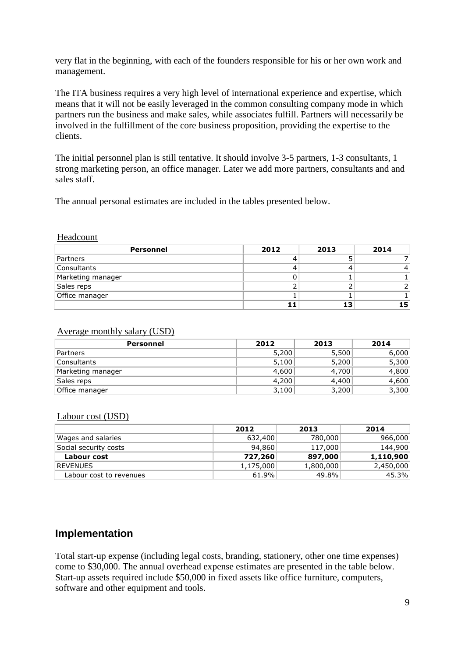very flat in the beginning, with each of the founders responsible for his or her own work and management.

The ITA business requires a very high level of international experience and expertise, which means that it will not be easily leveraged in the common consulting company mode in which partners run the business and make sales, while associates fulfill. Partners will necessarily be involved in the fulfillment of the core business proposition, providing the expertise to the clients.

The initial personnel plan is still tentative. It should involve 3-5 partners, 1-3 consultants, 1 strong marketing person, an office manager. Later we add more partners, consultants and and sales staff.

The annual personal estimates are included in the tables presented below.

#### Headcount

| Personnel         | 2012 | 2013 | 2014 |
|-------------------|------|------|------|
| Partners          |      |      |      |
| Consultants       |      |      |      |
| Marketing manager |      |      |      |
| Sales reps        |      |      |      |
| Office manager    |      |      |      |
|                   |      | 13   | 15   |

#### Average monthly salary (USD)

| Personnel         | 2012  | 2013  | 2014  |
|-------------------|-------|-------|-------|
| Partners          | 5,200 | 5,500 | 6,000 |
| Consultants       | 5,100 | 5,200 | 5,300 |
| Marketing manager | 4,600 | 4,700 | 4,800 |
| Sales reps        | 4,200 | 4,400 | 4,600 |
| Office manager    | 3,100 | 3,200 | 3,300 |

#### Labour cost (USD)

|                         | 2012      | 2013      | 2014      |
|-------------------------|-----------|-----------|-----------|
| Wages and salaries      | 632,400   | 780,000   | 966,000   |
| Social security costs   | 94,860    | 117,000   | 144,900   |
| Labour cost             | 727,260   | 897,000   | 1,110,900 |
| <b>REVENUES</b>         | 1,175,000 | 1,800,000 | 2,450,000 |
| Labour cost to revenues | 61.9%     | 49.8%     | 45.3%     |

### **Implementation**

Total start-up expense (including legal costs, branding, stationery, other one time expenses) come to \$30,000. The annual overhead expense estimates are presented in the table below. Start-up assets required include \$50,000 in fixed assets like office furniture, computers, software and other equipment and tools.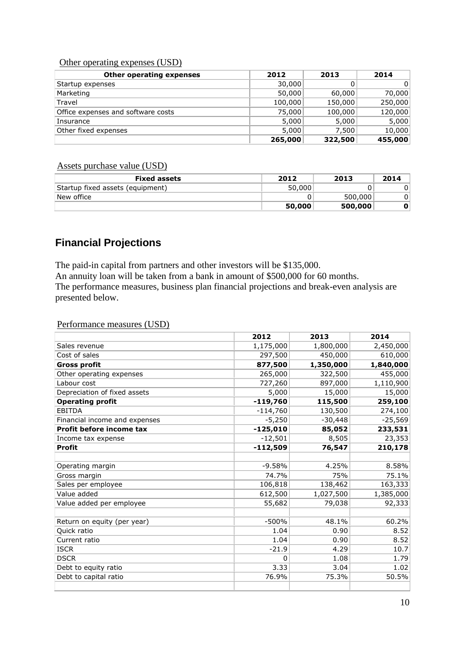#### Other operating expenses (USD)

| <b>Other operating expenses</b>    | 2012    | 2013    | 2014    |
|------------------------------------|---------|---------|---------|
| Startup expenses                   | 30,000  |         | 0       |
| Marketing                          | 50,000  | 60,000  | 70,000  |
| Travel                             | 100,000 | 150,000 | 250,000 |
| Office expenses and software costs | 75,000  | 100,000 | 120,000 |
| Insurance                          | 5,000   | 5,000   | 5,000   |
| Other fixed expenses               | 5,000   | 7,500   | 10,000  |
|                                    | 265,000 | 322,500 | 455,000 |

### Assets purchase value (USD)

| <b>Fixed assets</b>              | 2012   | 2013    | 2014 |
|----------------------------------|--------|---------|------|
| Startup fixed assets (equipment) | 50,000 |         | 0    |
| New office                       |        | 500,000 |      |
|                                  | 50,000 | 500,000 |      |

### **Financial Projections**

The paid-in capital from partners and other investors will be \$135,000. An annuity loan will be taken from a bank in amount of \$500,000 for 60 months. The performance measures, business plan financial projections and break-even analysis are presented below.

#### Performance measures (USD)

|                               | 2012       | 2013      | 2014      |
|-------------------------------|------------|-----------|-----------|
| Sales revenue                 | 1,175,000  | 1,800,000 | 2,450,000 |
| Cost of sales                 | 297,500    | 450,000   | 610,000   |
| <b>Gross profit</b>           | 877,500    | 1,350,000 | 1,840,000 |
| Other operating expenses      | 265,000    | 322,500   | 455,000   |
| Labour cost                   | 727,260    | 897,000   | 1,110,900 |
| Depreciation of fixed assets  | 5,000      | 15,000    | 15,000    |
| <b>Operating profit</b>       | $-119,760$ | 115,500   | 259,100   |
| <b>EBITDA</b>                 | $-114,760$ | 130,500   | 274,100   |
| Financial income and expenses | $-5,250$   | $-30,448$ | $-25,569$ |
| Profit before income tax      | $-125,010$ | 85,052    | 233,531   |
| Income tax expense            | $-12,501$  | 8,505     | 23,353    |
| <b>Profit</b>                 | $-112,509$ | 76,547    | 210,178   |
|                               |            |           |           |
| Operating margin              | $-9.58%$   | 4.25%     | 8.58%     |
| Gross margin                  | 74.7%      | 75%       | 75.1%     |
| Sales per employee            | 106,818    | 138,462   | 163,333   |
| Value added                   | 612,500    | 1,027,500 | 1,385,000 |
| Value added per employee      | 55,682     | 79,038    | 92,333    |
|                               |            |           |           |
| Return on equity (per year)   | $-500%$    | 48.1%     | 60.2%     |
| Quick ratio                   | 1.04       | 0.90      | 8.52      |
| Current ratio                 | 1.04       | 0.90      | 8.52      |
| <b>ISCR</b>                   | $-21.9$    | 4.29      | 10.7      |
| <b>DSCR</b>                   | 0          | 1.08      | 1.79      |
| Debt to equity ratio          | 3.33       | 3.04      | 1.02      |
| Debt to capital ratio         | 76.9%      | 75.3%     | 50.5%     |
|                               |            |           |           |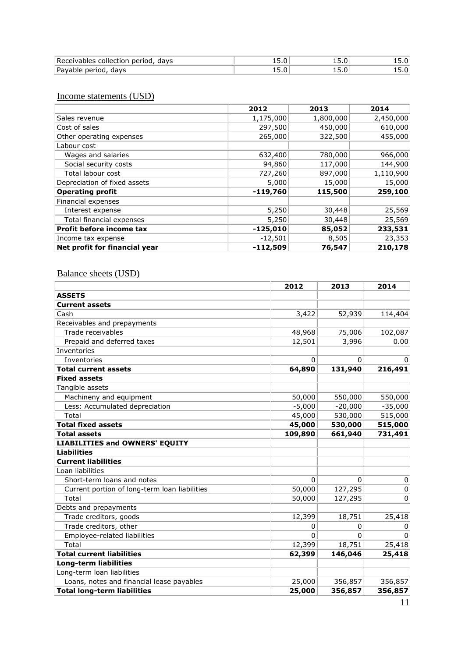| Receivables collection period,<br>davs |     | ___     |  |
|----------------------------------------|-----|---------|--|
| Payable period<br>davs                 | --- | 1 J J J |  |

### Income statements (USD)

| $\ldots$                      |            |           |           |
|-------------------------------|------------|-----------|-----------|
|                               | 2012       | 2013      | 2014      |
| Sales revenue                 | 1,175,000  | 1,800,000 | 2,450,000 |
| Cost of sales                 | 297,500    | 450,000   | 610,000   |
| Other operating expenses      | 265,000    | 322,500   | 455,000   |
| Labour cost                   |            |           |           |
| Wages and salaries            | 632,400    | 780,000   | 966,000   |
| Social security costs         | 94,860     | 117,000   | 144,900   |
| Total labour cost             | 727,260    | 897,000   | 1,110,900 |
| Depreciation of fixed assets  | 5,000      | 15,000    | 15,000    |
| <b>Operating profit</b>       | $-119,760$ | 115,500   | 259,100   |
| Financial expenses            |            |           |           |
| Interest expense              | 5,250      | 30,448    | 25,569    |
| Total financial expenses      | 5,250      | 30,448    | 25,569    |
| Profit before income tax      | $-125,010$ | 85,052    | 233,531   |
| Income tax expense            | $-12,501$  | 8,505     | 23,353    |
| Net profit for financial year | $-112,509$ | 76,547    | 210,178   |

### Balance sheets (USD)

|                                               | 2012     | 2013      | 2014         |
|-----------------------------------------------|----------|-----------|--------------|
| <b>ASSETS</b>                                 |          |           |              |
| <b>Current assets</b>                         |          |           |              |
| Cash                                          | 3,422    | 52,939    | 114,404      |
| Receivables and prepayments                   |          |           |              |
| Trade receivables                             | 48,968   | 75,006    | 102,087      |
| Prepaid and deferred taxes                    | 12,501   | 3,996     | 0.00         |
| Inventories                                   |          |           |              |
| Inventories                                   | $\Omega$ | 0         | $\mathbf{0}$ |
| <b>Total current assets</b>                   | 64,890   | 131,940   | 216,491      |
| <b>Fixed assets</b>                           |          |           |              |
| Tangible assets                               |          |           |              |
| Machineny and equipment                       | 50,000   | 550,000   | 550,000      |
| Less: Accumulated depreciation                | $-5,000$ | $-20,000$ | $-35,000$    |
| Total                                         | 45,000   | 530,000   | 515,000      |
| <b>Total fixed assets</b>                     | 45,000   | 530,000   | 515,000      |
| <b>Total assets</b>                           | 109,890  | 661,940   | 731,491      |
| <b>LIABILITIES and OWNERS' EQUITY</b>         |          |           |              |
| <b>Liabilities</b>                            |          |           |              |
| <b>Current liabilities</b>                    |          |           |              |
| Loan liabilities                              |          |           |              |
| Short-term loans and notes                    | $\Omega$ | $\Omega$  | $\mathbf 0$  |
| Current portion of long-term loan liabilities | 50,000   | 127,295   | 0            |
| Total                                         | 50,000   | 127,295   | 0            |
| Debts and prepayments                         |          |           |              |
| Trade creditors, goods                        | 12,399   | 18,751    | 25,418       |
| Trade creditors, other                        | 0        | 0         | 0            |
| Employee-related liabilities                  | $\Omega$ | $\Omega$  | $\Omega$     |
| Total                                         | 12,399   | 18,751    | 25,418       |
| <b>Total current liabilities</b>              | 62,399   | 146,046   | 25,418       |
| <b>Long-term liabilities</b>                  |          |           |              |
| Long-term loan liabilities                    |          |           |              |
| Loans, notes and financial lease payables     | 25,000   | 356,857   | 356,857      |
| <b>Total long-term liabilities</b>            | 25,000   | 356,857   | 356,857      |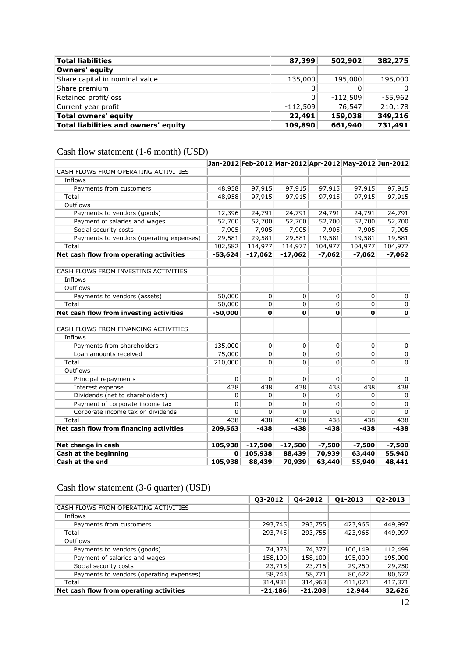| <b>Total liabilities</b>             | 87,399     | 502,902    | 382,275      |
|--------------------------------------|------------|------------|--------------|
| Owners' equity                       |            |            |              |
| Share capital in nominal value       | 135,000    | 195,000    | 195,000      |
| Share premium                        | 0          | 0          | $\mathbf{0}$ |
| Retained profit/loss                 | 0          | $-112.509$ | $-55,962$    |
| Current year profit                  | $-112,509$ | 76,547     | 210,178      |
| Total owners' equity                 | 22,491     | 159,038    | 349,216      |
| Total liabilities and owners' equity | 109,890    | 661,940    | 731,491      |

# Cash flow statement (1-6 month) (USD)

|                                          |           |             |           |             | Jan-2012 Feb-2012 Mar-2012 Apr-2012 May-2012 Jun-2012 |             |
|------------------------------------------|-----------|-------------|-----------|-------------|-------------------------------------------------------|-------------|
| CASH FLOWS FROM OPERATING ACTIVITIES     |           |             |           |             |                                                       |             |
| Inflows                                  |           |             |           |             |                                                       |             |
| Payments from customers                  | 48,958    | 97,915      | 97,915    | 97,915      | 97,915                                                | 97,915      |
| Total                                    | 48,958    | 97,915      | 97,915    | 97,915      | 97,915                                                | 97,915      |
| Outflows                                 |           |             |           |             |                                                       |             |
| Payments to vendors (goods)              | 12,396    | 24,791      | 24,791    | 24,791      | 24,791                                                | 24,791      |
| Payment of salaries and wages            | 52,700    | 52,700      | 52,700    | 52,700      | 52,700                                                | 52,700      |
| Social security costs                    | 7,905     | 7,905       | 7,905     | 7,905       | 7,905                                                 | 7,905       |
| Payments to vendors (operating expenses) | 29,581    | 29,581      | 29,581    | 19,581      | 19,581                                                | 19,581      |
| Total                                    | 102,582   | 114,977     | 114,977   | 104,977     | 104,977                                               | 104,977     |
| Net cash flow from operating activities  | -53,624   | $-17,062$   | -17,062   | $-7,062$    | $-7,062$                                              | $-7,062$    |
|                                          |           |             |           |             |                                                       |             |
| CASH FLOWS FROM INVESTING ACTIVITIES     |           |             |           |             |                                                       |             |
| Inflows                                  |           |             |           |             |                                                       |             |
| Outflows                                 |           |             |           |             |                                                       |             |
| Payments to vendors (assets)             | 50,000    | 0           | 0         | 0           | 0                                                     | $\mathbf 0$ |
| Total                                    | 50,000    | 0           | 0         | $\mathbf 0$ | $\overline{0}$                                        | $\mathbf 0$ |
| Net cash flow from investing activities  | $-50,000$ | $\mathbf 0$ | 0         | $\mathbf 0$ | $\mathbf{0}$                                          | $\mathbf 0$ |
|                                          |           |             |           |             |                                                       |             |
| CASH FLOWS FROM FINANCING ACTIVITIES     |           |             |           |             |                                                       |             |
| Inflows                                  |           |             |           |             |                                                       |             |
| Payments from shareholders               | 135,000   | $\Omega$    | 0         | 0           | $\Omega$                                              | $\mathbf 0$ |
| Loan amounts received                    | 75,000    | $\Omega$    | 0         | 0           | $\Omega$                                              | $\mathbf 0$ |
| Total                                    | 210,000   | 0           | 0         | 0           | $\Omega$                                              | $\mathbf 0$ |
| Outflows                                 |           |             |           |             |                                                       |             |
| Principal repayments                     | 0         | 0           | 0         | $\mathbf 0$ | $\Omega$                                              | $\mathbf 0$ |
| Interest expense                         | 438       | 438         | 438       | 438         | 438                                                   | 438         |
| Dividends (net to shareholders)          | 0         | 0           | 0         | $\mathbf 0$ | $\mathbf{0}$                                          | $\mathbf 0$ |
| Payment of corporate income tax          | 0         | 0           | 0         | 0           | $\Omega$                                              | $\mathbf 0$ |
| Corporate income tax on dividends        | $\Omega$  | $\Omega$    | $\Omega$  | 0           | $\Omega$                                              | $\mathbf 0$ |
| Total                                    | 438       | 438         | 438       | 438         | 438                                                   | 438         |
| Net cash flow from financing activities  | 209,563   | $-438$      | $-438$    | $-438$      | $-438$                                                | $-438$      |
|                                          |           |             |           |             |                                                       |             |
| Net change in cash                       | 105,938   | $-17,500$   | $-17,500$ | $-7,500$    | $-7,500$                                              | $-7,500$    |
| Cash at the beginning                    | 0         | 105,938     | 88,439    | 70,939      | 63,440                                                | 55,940      |
| Cash at the end                          | 105,938   | 88,439      | 70,939    | 63,440      | 55,940                                                | 48,441      |

# Cash flow statement (3-6 quarter) (USD)

|                                                                                     | 449,997                                                                                                                                                       |
|-------------------------------------------------------------------------------------|---------------------------------------------------------------------------------------------------------------------------------------------------------------|
|                                                                                     | 449,997                                                                                                                                                       |
|                                                                                     |                                                                                                                                                               |
|                                                                                     | 112,499                                                                                                                                                       |
|                                                                                     | 195,000                                                                                                                                                       |
|                                                                                     | 29,250                                                                                                                                                        |
|                                                                                     | 80,622                                                                                                                                                        |
| 411,021                                                                             | 417,371                                                                                                                                                       |
|                                                                                     | 32,626                                                                                                                                                        |
| 293,745<br>293,745<br>74,373<br>158,100<br>23,715<br>58,743<br>314,931<br>$-21,186$ | 293,755<br>423,965<br>293,755<br>423,965<br>74,377<br>106,149<br>158,100<br>195,000<br>23,715<br>29,250<br>58,771<br>80,622<br>314,963<br>$-21,208$<br>12,944 |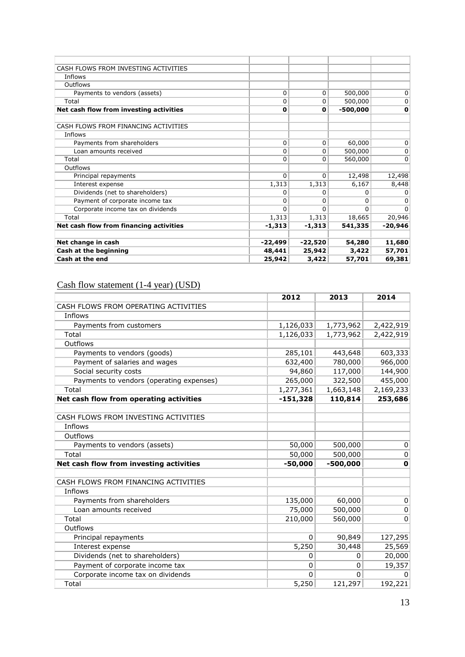| CASH FLOWS FROM INVESTING ACTIVITIES    |           |           |            |              |
|-----------------------------------------|-----------|-----------|------------|--------------|
| Inflows                                 |           |           |            |              |
| Outflows                                |           |           |            |              |
| Payments to vendors (assets)            | 0         | 0         | 500,000    | $\mathbf{0}$ |
| Total                                   | 0         | 0         | 500,000    | $\mathbf{0}$ |
| Net cash flow from investing activities | 0         | 0         | $-500,000$ | $\mathbf 0$  |
|                                         |           |           |            |              |
| CASH FLOWS FROM FINANCING ACTIVITIES    |           |           |            |              |
| Inflows                                 |           |           |            |              |
| Payments from shareholders              | 0         | 0         | 60,000     | $\mathbf{0}$ |
| Loan amounts received                   | 0         | 0         | 500,000    | $\mathbf 0$  |
| Total                                   | 0         | 0         | 560,000    | $\mathbf{0}$ |
| Outflows                                |           |           |            |              |
| Principal repayments                    | 0         | 0         | 12,498     | 12,498       |
| Interest expense                        | 1,313     | 1,313     | 6,167      | 8,448        |
| Dividends (net to shareholders)         | 0         | 0         | 0          | $\Omega$     |
| Payment of corporate income tax         | 0         | 0         | 0          | $\mathbf{0}$ |
| Corporate income tax on dividends       | 0         | 0         | 0          | $\Omega$     |
| Total                                   | 1,313     | 1,313     | 18,665     | 20,946       |
| Net cash flow from financing activities | $-1,313$  | $-1,313$  | 541,335    | $-20,946$    |
|                                         |           |           |            |              |
| Net change in cash                      | $-22,499$ | $-22,520$ | 54,280     | 11,680       |
| Cash at the beginning                   | 48,441    | 25,942    | 3,422      | 57,701       |
| Cash at the end                         | 25,942    | 3,422     | 57,701     | 69,381       |

### Cash flow statement (1-4 year) (USD)

|                                          | 2012         | 2013         | 2014        |
|------------------------------------------|--------------|--------------|-------------|
| CASH FLOWS FROM OPERATING ACTIVITIES     |              |              |             |
| Inflows                                  |              |              |             |
| Payments from customers                  | 1,126,033    | 1,773,962    | 2,422,919   |
| Total                                    | 1,126,033    | 1,773,962    | 2,422,919   |
| Outflows                                 |              |              |             |
| Payments to vendors (goods)              | 285,101      | 443,648      | 603,333     |
| Payment of salaries and wages            | 632,400      | 780,000      | 966,000     |
| Social security costs                    | 94,860       | 117,000      | 144,900     |
| Payments to vendors (operating expenses) | 265,000      | 322,500      | 455,000     |
| Total                                    | 1,277,361    | 1,663,148    | 2,169,233   |
| Net cash flow from operating activities  | $-151,328$   | 110,814      | 253,686     |
|                                          |              |              |             |
| CASH FLOWS FROM INVESTING ACTIVITIES     |              |              |             |
| Inflows                                  |              |              |             |
| Outflows                                 |              |              |             |
| Payments to vendors (assets)             | 50,000       | 500,000      | 0           |
| Total                                    | 50,000       | 500,000      | 0           |
| Net cash flow from investing activities  | $-50,000$    | $-500,000$   | $\mathbf 0$ |
|                                          |              |              |             |
| CASH FLOWS FROM FINANCING ACTIVITIES     |              |              |             |
| Inflows                                  |              |              |             |
| Payments from shareholders               | 135,000      | 60,000       | $\mathbf 0$ |
| Loan amounts received                    | 75,000       | 500,000      | 0           |
| Total                                    | 210,000      | 560,000      | 0           |
| Outflows                                 |              |              |             |
| Principal repayments                     | $\mathbf{0}$ | 90,849       | 127,295     |
| Interest expense                         | 5,250        | 30,448       | 25,569      |
| Dividends (net to shareholders)          | $\Omega$     | $\mathbf{0}$ | 20,000      |
| Payment of corporate income tax          | 0            | $\mathbf{0}$ | 19,357      |
| Corporate income tax on dividends        | $\Omega$     | $\Omega$     | 0           |
| Total                                    | 5,250        | 121,297      | 192,221     |